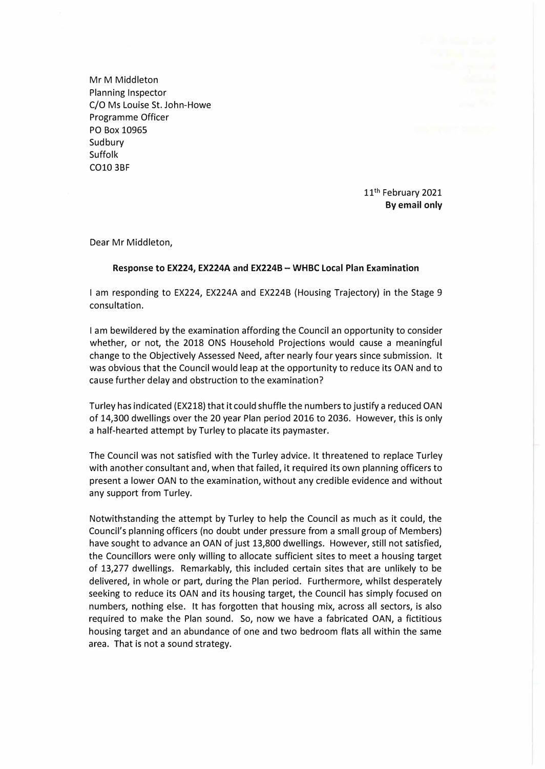Mr M Middleton Planning Inspector C/O Ms Louise St. John-Howe Programme Officer PO Box 10965 Sudbury Suffolk CO10 3BF

> 11<sup>th</sup> February 2021 **By email only**

Dear Mr Middleton,

## **Response to EX224, EX224A and EX224B - WHBC Local Plan Examination**

I am responding to EX224, EX224A and EX224B (Housing Trajectory) in the Stage 9 consultation.

I am bewildered by the examination affording the Council an opportunity to consider whether, or not, the 2018 ONS Household Projections would cause a meaningful change to the Objectively Assessed Need, after nearly four years since submission. It was obvious that the Council would leap at the opportunity to reduce its OAN and to cause further delay and obstruction to the examination?

Turley has indicated (EX218) that it could shuffle the numbers to justify a reduced OAN of 14,300 dwellings over the 20 year Plan period 2016 to 2036. However, this is only a half-hearted attempt by Turley to placate its paymaster.

The Council was not satisfied with the Turley advice. It threatened to replace Turley with another consultant and, when that failed, it required its own planning officers to present a lower OAN to the examination, without any credible evidence and without any support from Turley.

Notwithstanding the attempt by Turley to help the Council as much as it could, the Council's planning officers (no doubt under pressure from a small group of Members) have sought to advance an OAN of just 13,800 dwellings. However, still not satisfied, the Councillors were only willing to allocate sufficient sites to meet a housing target of 13,277 dwellings. Remarkably, this included certain sites that are unlikely to be delivered, in whole or part, during the Plan period. Furthermore, whilst desperately seeking to reduce its OAN and its housing target, the Council has simply focused on numbers, nothing else. It has forgotten that housing mix, across all sectors, is also required to make the Plan sound. So, now we have a fabricated OAN, a fictitious housing target and an abundance of one and two bedroom flats all within the same area. That is not a sound strategy.